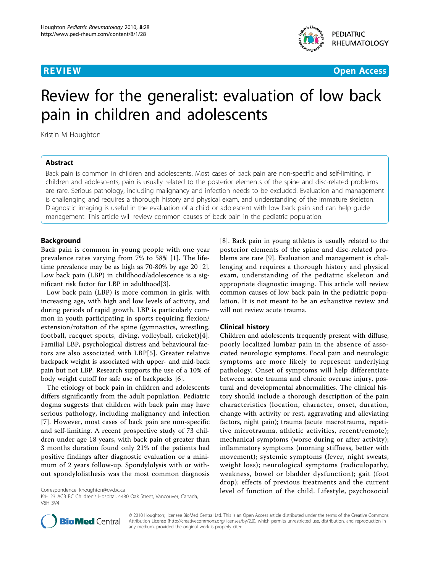

**REVIEW CONTROL** CONTROL CONTROL CONTROL CONTROL CONTROL CONTROL CONTROL CONTROL CONTROL CONTROL CONTROL CONTROL

# Review for the generalist: evaluation of low back pain in children and adolescents

Kristin M Houghton

# Abstract

Back pain is common in children and adolescents. Most cases of back pain are non-specific and self-limiting. In children and adolescents, pain is usually related to the posterior elements of the spine and disc-related problems are rare. Serious pathology, including malignancy and infection needs to be excluded. Evaluation and management is challenging and requires a thorough history and physical exam, and understanding of the immature skeleton. Diagnostic imaging is useful in the evaluation of a child or adolescent with low back pain and can help guide management. This article will review common causes of back pain in the pediatric population.

#### Background

Back pain is common in young people with one year prevalence rates varying from 7% to 58% [\[1](#page-6-0)]. The lifetime prevalence may be as high as 70-80% by age 20 [\[2](#page-6-0)]. Low back pain (LBP) in childhood/adolescence is a significant risk factor for LBP in adulthood[[3\]](#page-6-0).

Low back pain (LBP) is more common in girls, with increasing age, with high and low levels of activity, and during periods of rapid growth. LBP is particularly common in youth participating in sports requiring flexion/ extension/rotation of the spine (gymnastics, wrestling, football, racquet sports, diving, volleyball, cricket)[[4](#page-6-0)]. Familial LBP, psychological distress and behavioural factors are also associated with LBP[[5](#page-6-0)]. Greater relative backpack weight is associated with upper- and mid-back pain but not LBP. Research supports the use of a 10% of body weight cutoff for safe use of backpacks [[6\]](#page-6-0).

The etiology of back pain in children and adolescents differs significantly from the adult population. Pediatric dogma suggests that children with back pain may have serious pathology, including malignancy and infection [[7](#page-6-0)]. However, most cases of back pain are non-specific and self-limiting. A recent prospective study of 73 children under age 18 years, with back pain of greater than 3 months duration found only 21% of the patients had positive findings after diagnostic evaluation or a minimum of 2 years follow-up. Spondylolysis with or without spondylolisthesis was the most common diagnosis

[[8\]](#page-6-0). Back pain in young athletes is usually related to the posterior elements of the spine and disc-related problems are rare [[9\]](#page-6-0). Evaluation and management is challenging and requires a thorough history and physical exam, understanding of the pediatric skeleton and appropriate diagnostic imaging. This article will review common causes of low back pain in the pediatric population. It is not meant to be an exhaustive review and will not review acute trauma.

#### Clinical history

Children and adolescents frequently present with diffuse, poorly localized lumbar pain in the absence of associated neurologic symptoms. Focal pain and neurologic symptoms are more likely to represent underlying pathology. Onset of symptoms will help differentiate between acute trauma and chronic overuse injury, postural and developmental abnormalities. The clinical history should include a thorough description of the pain characteristics (location, character, onset, duration, change with activity or rest, aggravating and alleviating factors, night pain); trauma (acute macrotrauma, repetitive microtrauma, athletic activities, recent/remote); mechanical symptoms (worse during or after activity); inflammatory symptoms (morning stiffness, better with movement); systemic symptoms (fever, night sweats, weight loss); neurological symptoms (radiculopathy, weakness, bowel or bladder dysfunction); gait (foot drop); effects of previous treatments and the current Correspondence: [khoughton@cw.bc.ca](mailto:khoughton@cw.bc.ca) **level of function of the child. Lifestyle, psychosocial** 



© 2010 Houghton; licensee BioMed Central Ltd. This is an Open Access article distributed under the terms of the Creative Commons Attribution License [\(http://creativecommons.org/licenses/by/2.0](http://creativecommons.org/licenses/by/2.0)), which permits unrestricted use, distribution, and reproduction in any medium, provided the original work is properly cited.

K4-123 ACB BC Children's Hospital, 4480 Oak Street, Vancouver, Canada, V6H 3V4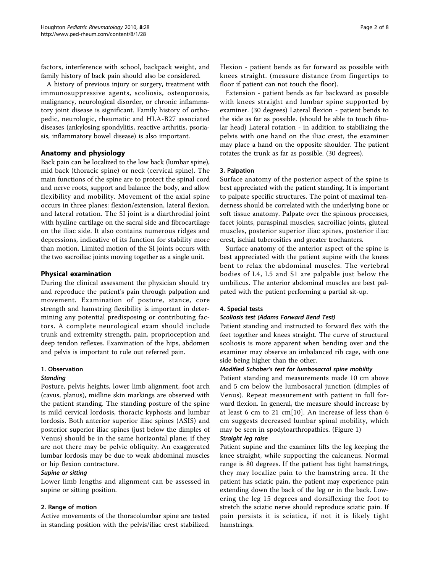factors, interference with school, backpack weight, and family history of back pain should also be considered.

A history of previous injury or surgery, treatment with immunosuppressive agents, scoliosis, osteoporosis, malignancy, neurological disorder, or chronic inflammatory joint disease is significant. Family history of orthopedic, neurologic, rheumatic and HLA-B27 associated diseases (ankylosing spondylitis, reactive arthritis, psoriasis, inflammatory bowel disease) is also important.

#### Anatomy and physiology

Back pain can be localized to the low back (lumbar spine), mid back (thoracic spine) or neck (cervical spine). The main functions of the spine are to protect the spinal cord and nerve roots, support and balance the body, and allow flexibility and mobility. Movement of the axial spine occurs in three planes: flexion/extension, lateral flexion, and lateral rotation. The SI joint is a diarthrodial joint with hyaline cartilage on the sacral side and fibrocartilage on the iliac side. It also contains numerous ridges and depressions, indicative of its function for stability more than motion. Limited motion of the SI joints occurs with the two sacroiliac joints moving together as a single unit.

#### Physical examination

During the clinical assessment the physician should try and reproduce the patient's pain through palpation and movement. Examination of posture, stance, core strength and hamstring flexibility is important in determining any potential predisposing or contributing factors. A complete neurological exam should include trunk and extremity strength, pain, proprioception and deep tendon reflexes. Examination of the hips, abdomen and pelvis is important to rule out referred pain.

# 1. Observation

#### **Standing**

Posture, pelvis heights, lower limb alignment, foot arch (cavus, planus), midline skin markings are observed with the patient standing. The standing posture of the spine is mild cervical lordosis, thoracic kyphosis and lumbar lordosis. Both anterior superior iliac spines (ASIS) and posterior superior iliac spines (just below the dimples of Venus) should be in the same horizontal plane; if they are not there may be pelvic obliquity. An exaggerated lumbar lordosis may be due to weak abdominal muscles or hip flexion contracture.

#### Supine or sitting

Lower limb lengths and alignment can be assessed in supine or sitting position.

#### 2. Range of motion

Active movements of the thoracolumbar spine are tested in standing position with the pelvis/iliac crest stabilized.

Extension - patient bends as far backward as possible with knees straight and lumbar spine supported by examiner. (30 degrees) Lateral flexion - patient bends to the side as far as possible. (should be able to touch fibular head) Lateral rotation - in addition to stabilizing the pelvis with one hand on the iliac crest, the examiner may place a hand on the opposite shoulder. The patient rotates the trunk as far as possible. (30 degrees).

#### 3. Palpation

Surface anatomy of the posterior aspect of the spine is best appreciated with the patient standing. It is important to palpate specific structures. The point of maximal tenderness should be correlated with the underlying bone or soft tissue anatomy. Palpate over the spinous processes, facet joints, paraspinal muscles, sacroiliac joints, gluteal muscles, posterior superior iliac spines, posterior iliac crest, ischial tuberosities and greater trochanters.

Surface anatomy of the anterior aspect of the spine is best appreciated with the patient supine with the knees bent to relax the abdominal muscles. The vertebral bodies of L4, L5 and S1 are palpable just below the umbilicus. The anterior abdominal muscles are best palpated with the patient performing a partial sit-up.

#### 4. Special tests

#### Scoliosis test (Adams Forward Bend Test)

Patient standing and instructed to forward flex with the feet together and knees straight. The curve of structural scoliosis is more apparent when bending over and the examiner may observe an imbalanced rib cage, with one side being higher than the other.

#### Modified Schober's test for lumbosacral spine mobility

Patient standing and measurements made 10 cm above and 5 cm below the lumbosacral junction (dimples of Venus). Repeat measurement with patient in full forward flexion. In general, the measure should increase by at least 6 cm to 21 cm[\[10\]](#page-6-0). An increase of less than 6 cm suggests decreased lumbar spinal mobility, which may be seen in spodyloarthropathies. (Figure [1](#page-2-0))

#### Straight leg raise

Patient supine and the examiner lifts the leg keeping the knee straight, while supporting the calcaneus. Normal range is 80 degrees. If the patient has tight hamstrings, they may localize pain to the hamstring area. If the patient has sciatic pain, the patient may experience pain extending down the back of the leg or in the back. Lowering the leg 15 degrees and dorsiflexing the foot to stretch the sciatic nerve should reproduce sciatic pain. If pain persists it is sciatica, if not it is likely tight hamstrings.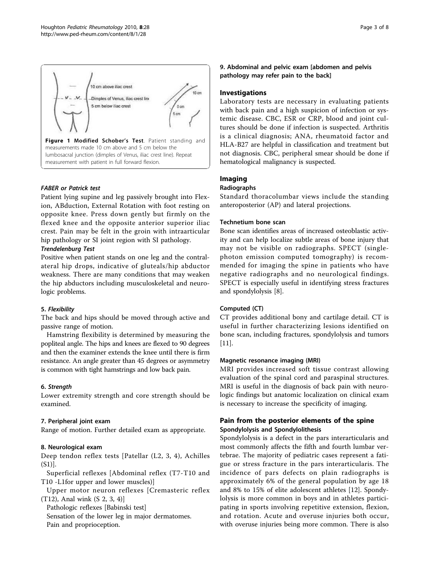<span id="page-2-0"></span>

#### FABER or Patrick test

Patient lying supine and leg passively brought into Flexion, ABduction, External Rotation with foot resting on opposite knee. Press down gently but firmly on the flexed knee and the opposite anterior superior iliac crest. Pain may be felt in the groin with intraarticular hip pathology or SI joint region with SI pathology.

#### Trendelenburg Test

Positive when patient stands on one leg and the contralateral hip drops, indicative of gluteals/hip abductor weakness. There are many conditions that may weaken the hip abductors including musculoskeletal and neurologic problems.

# 5. Flexibility

The back and hips should be moved through active and passive range of motion.

Hamstring flexibility is determined by measuring the popliteal angle. The hips and knees are flexed to 90 degrees and then the examiner extends the knee until there is firm resistance. An angle greater than 45 degrees or asymmetry is common with tight hamstrings and low back pain.

#### 6. Strength

Lower extremity strength and core strength should be examined.

#### 7. Peripheral joint exam

Range of motion. Further detailed exam as appropriate.

# 8. Neurological exam

Deep tendon reflex tests [Patellar (L2, 3, 4), Achilles (S1)].

Superficial reflexes [Abdominal reflex (T7-T10 and T10 -L1for upper and lower muscles)]

Upper motor neuron reflexes [Cremasteric reflex (T12), Anal wink (S 2, 3, 4)]

Pathologic reflexes [Babinski test] Sensation of the lower leg in major dermatomes. Pain and proprioception.

9. Abdominal and pelvic exam [abdomen and pelvis pathology may refer pain to the back]

#### Investigations

Laboratory tests are necessary in evaluating patients with back pain and a high suspicion of infection or systemic disease. CBC, ESR or CRP, blood and joint cultures should be done if infection is suspected. Arthritis is a clinical diagnosis; ANA, rheumatoid factor and HLA-B27 are helpful in classification and treatment but not diagnosis. CBC, peripheral smear should be done if hematological malignancy is suspected.

# Imaging

#### Radiographs

Standard thoracolumbar views include the standing anteroposterior (AP) and lateral projections.

#### Technetium bone scan

Bone scan identifies areas of increased osteoblastic activity and can help localize subtle areas of bone injury that may not be visible on radiographs. SPECT (singlephoton emission computed tomography) is recommended for imaging the spine in patients who have negative radiographs and no neurological findings. SPECT is especially useful in identifying stress fractures and spondylolysis [[8\]](#page-6-0).

# Computed (CT)

CT provides additional bony and cartilage detail. CT is useful in further characterizing lesions identified on bone scan, including fractures, spondylolysis and tumors [[11\]](#page-6-0).

#### Magnetic resonance imaging (MRI)

MRI provides increased soft tissue contrast allowing evaluation of the spinal cord and paraspinal structures. MRI is useful in the diagnosis of back pain with neurologic findings but anatomic localization on clinical exam is necessary to increase the specificity of imaging.

#### Pain from the posterior elements of the spine Spondylolysis and Spondylolithesis

Spondylolysis is a defect in the pars interarticularis and most commonly affects the fifth and fourth lumbar vertebrae. The majority of pediatric cases represent a fatigue or stress fracture in the pars interarticularis. The incidence of pars defects on plain radiographs is approximately 6% of the general population by age 18 and 8% to 15% of elite adolescent athletes [[12\]](#page-6-0). Spondylolysis is more common in boys and in athletes participating in sports involving repetitive extension, flexion, and rotation. Acute and overuse injuries both occur, with overuse injuries being more common. There is also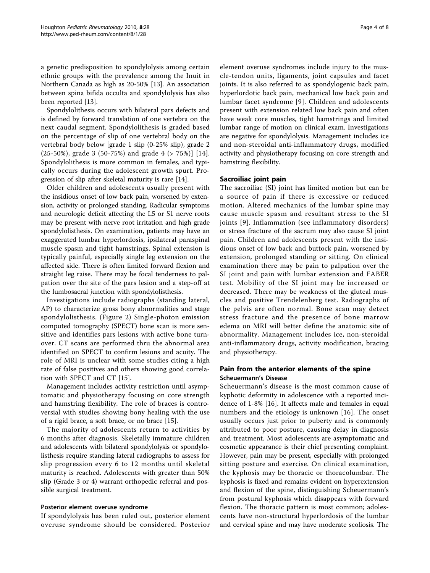a genetic predisposition to spondylolysis among certain ethnic groups with the prevalence among the Inuit in Northern Canada as high as 20-50% [\[13\]](#page-6-0). An association between spina bifida occulta and spondylolysis has also been reported [\[13](#page-6-0)].

Spondylolithesis occurs with bilateral pars defects and is defined by forward translation of one vertebra on the next caudal segment. Spondylolithesis is graded based on the percentage of slip of one vertebral body on the vertebral body below [grade 1 slip (0-25% slip), grade 2  $(25-50\%)$ , grade 3 (50-75%) and grade 4 (> 75%)] [[14](#page-6-0)]. Spondylolithesis is more common in females, and typically occurs during the adolescent growth spurt. Progression of slip after skeletal maturity is rare [[14](#page-6-0)].

Older children and adolescents usually present with the insidious onset of low back pain, worsened by extension, activity or prolonged standing. Radicular symptoms and neurologic deficit affecting the L5 or S1 nerve roots may be present with nerve root irritation and high grade spondylolisthesis. On examination, patients may have an exaggerated lumbar hyperlordosis, ipsilateral paraspinal muscle spasm and tight hamstrings. Spinal extension is typically painful, especially single leg extension on the affected side. There is often limited forward flexion and straight leg raise. There may be focal tenderness to palpation over the site of the pars lesion and a step-off at the lumbosacral junction with spondylolisthesis.

Investigations include radiographs (standing lateral, AP) to characterize gross bony abnormalities and stage spondylolisthesis. (Figure [2\)](#page-4-0) Single-photon emission computed tomography (SPECT) bone scan is more sensitive and identifies pars lesions with active bone turnover. CT scans are performed thru the abnormal area identified on SPECT to confirm lesions and acuity. The role of MRI is unclear with some studies citing a high rate of false positives and others showing good correlation with SPECT and CT [\[15\]](#page-6-0).

Management includes activity restriction until asymptomatic and physiotherapy focusing on core strength and hamstring flexibility. The role of braces is controversial with studies showing bony healing with the use of a rigid brace, a soft brace, or no brace [[15](#page-6-0)].

The majority of adolescents return to activities by 6 months after diagnosis. Skeletally immature children and adolescents with bilateral spondylolysis or spondylolisthesis require standing lateral radiographs to assess for slip progression every 6 to 12 months until skeletal maturity is reached. Adolescents with greater than 50% slip (Grade 3 or 4) warrant orthopedic referral and possible surgical treatment.

#### Posterior element overuse syndrome

If spondylolysis has been ruled out, posterior element overuse syndrome should be considered. Posterior

element overuse syndromes include injury to the muscle-tendon units, ligaments, joint capsules and facet joints. It is also referred to as spondylogenic back pain, hyperlordotic back pain, mechanical low back pain and lumbar facet syndrome [[9](#page-6-0)]. Children and adolescents present with extension related low back pain and often have weak core muscles, tight hamstrings and limited lumbar range of motion on clinical exam. Investigations are negative for spondylolysis. Management includes ice and non-steroidal anti-inflammatory drugs, modified activity and physiotherapy focusing on core strength and hamstring flexibility.

#### Sacroiliac joint pain

The sacroiliac (SI) joint has limited motion but can be a source of pain if there is excessive or reduced motion. Altered mechanics of the lumbar spine may cause muscle spasm and resultant stress to the SI joints [[9](#page-6-0)]. Inflammation (see inflammatory disorders) or stress fracture of the sacrum may also cause SI joint pain. Children and adolescents present with the insidious onset of low back and buttock pain, worsened by extension, prolonged standing or sitting. On clinical examination there may be pain to palpation over the SI joint and pain with lumbar extension and FABER test. Mobility of the SI joint may be increased or decreased. There may be weakness of the gluteal muscles and positive Trendelenberg test. Radiographs of the pelvis are often normal. Bone scan may detect stress fracture and the presence of bone marrow edema on MRI will better define the anatomic site of abnormality. Management includes ice, non-steroidal anti-inflammatory drugs, activity modification, bracing and physiotherapy.

#### Pain from the anterior elements of the spine Scheuermann's Disease

Scheuermann's disease is the most common cause of kyphotic deformity in adolescence with a reported incidence of 1-8% [[16\]](#page-6-0). It affects male and females in equal numbers and the etiology is unknown [[16](#page-6-0)]. The onset usually occurs just prior to puberty and is commonly attributed to poor posture, causing delay in diagnosis and treatment. Most adolescents are asymptomatic and cosmetic appearance is their chief presenting complaint. However, pain may be present, especially with prolonged sitting posture and exercise. On clinical examination, the kyphosis may be thoracic or thoracolumbar. The kyphosis is fixed and remains evident on hyperextension and flexion of the spine, distinguishing Scheuermann's from postural kyphosis which disappears with forward flexion. The thoracic pattern is most common; adolescents have non-structural hyperlordosis of the lumbar and cervical spine and may have moderate scoliosis. The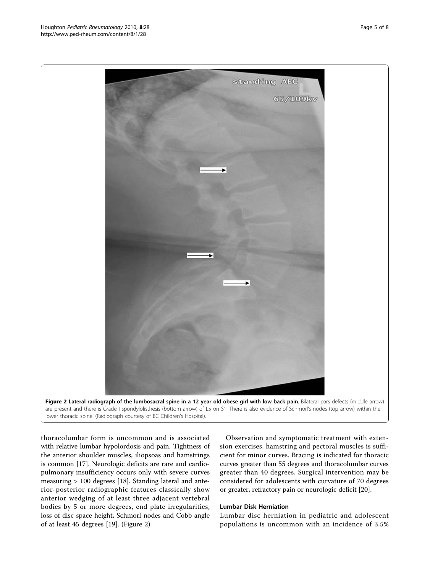thoracolumbar form is uncommon and is associated with relative lumbar hypolordosis and pain. Tightness of the anterior shoulder muscles, iliopsoas and hamstrings is common [\[17\]](#page-6-0). Neurologic deficits are rare and cardiopulmonary insufficiency occurs only with severe curves measuring > 100 degrees [[18](#page-6-0)]. Standing lateral and anterior-posterior radiographic features classically show anterior wedging of at least three adjacent vertebral bodies by 5 or more degrees, end plate irregularities, loss of disc space height, Schmorl nodes and Cobb angle of at least 45 degrees [[19\]](#page-6-0). (Figure 2)

Observation and symptomatic treatment with extension exercises, hamstring and pectoral muscles is sufficient for minor curves. Bracing is indicated for thoracic curves greater than 55 degrees and thoracolumbar curves greater than 40 degrees. Surgical intervention may be considered for adolescents with curvature of 70 degrees or greater, refractory pain or neurologic deficit [[20\]](#page-6-0).

#### Lumbar Disk Herniation

Lumbar disc herniation in pediatric and adolescent populations is uncommon with an incidence of 3.5%

<span id="page-4-0"></span>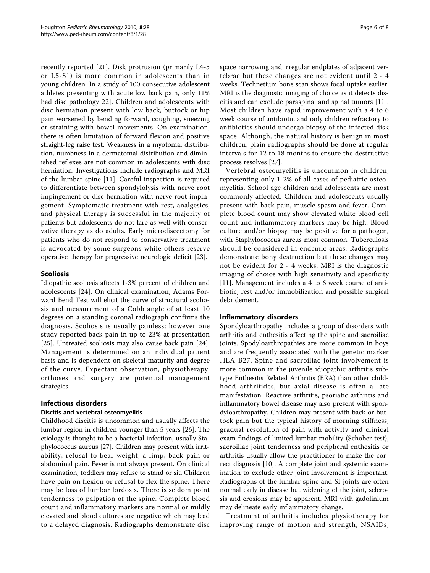recently reported [\[21\]](#page-6-0). Disk protrusion (primarily L4-5 or L5-S1) is more common in adolescents than in young children. In a study of 100 consecutive adolescent athletes presenting with acute low back pain, only 11% had disc pathology[[22\]](#page-6-0). Children and adolescents with disc herniation present with low back, buttock or hip pain worsened by bending forward, coughing, sneezing or straining with bowel movements. On examination, there is often limitation of forward flexion and positive straight-leg raise test. Weakness in a myotomal distribution, numbness in a dermatomal distribution and diminished reflexes are not common in adolescents with disc herniation. Investigations include radiographs and MRI of the lumbar spine [\[11](#page-6-0)]. Careful inspection is required to differentiate between spondylolysis with nerve root impingement or disc herniation with nerve root impingement. Symptomatic treatment with rest, analgesics, and physical therapy is successful in the majority of patients but adolescents do not fare as well with conservative therapy as do adults. Early microdiscectomy for patients who do not respond to conservative treatment is advocated by some surgeons while others reserve operative therapy for progressive neurologic deficit [\[23\]](#page-6-0).

#### Scoliosis

Idiopathic scoliosis affects 1-3% percent of children and adolescents [[24](#page-7-0)]. On clinical examination, Adams Forward Bend Test will elicit the curve of structural scoliosis and measurement of a Cobb angle of at least 10 degrees on a standing coronal radiograph confirms the diagnosis. Scoliosis is usually painless; however one study reported back pain in up to 23% at presentation [[25\]](#page-7-0). Untreated scoliosis may also cause back pain [[24](#page-7-0)]. Management is determined on an individual patient basis and is dependent on skeletal maturity and degree of the curve. Expectant observation, physiotherapy, orthoses and surgery are potential management strategies.

#### Infectious disorders

#### Discitis and vertebral osteomyelitis

Childhood discitis is uncommon and usually affects the lumbar region in children younger than 5 years [\[26](#page-7-0)]. The etiology is thought to be a bacterial infection, usually Staphylococcus aureus [\[27\]](#page-7-0). Children may present with irritability, refusal to bear weight, a limp, back pain or abdominal pain. Fever is not always present. On clinical examination, toddlers may refuse to stand or sit. Children have pain on flexion or refusal to flex the spine. There may be loss of lumbar lordosis. There is seldom point tenderness to palpation of the spine. Complete blood count and inflammatory markers are normal or mildly elevated and blood cultures are negative which may lead to a delayed diagnosis. Radiographs demonstrate disc space narrowing and irregular endplates of adjacent vertebrae but these changes are not evident until 2 - 4 weeks. Technetium bone scan shows focal uptake earlier. MRI is the diagnostic imaging of choice as it detects discitis and can exclude paraspinal and spinal tumors [[11](#page-6-0)]. Most children have rapid improvement with a 4 to 6 week course of antibiotic and only children refractory to antibiotics should undergo biopsy of the infected disk space. Although, the natural history is benign in most children, plain radiographs should be done at regular intervals for 12 to 18 months to ensure the destructive process resolves [[27](#page-7-0)].

Vertebral osteomyelitis is uncommon in children, representing only 1-2% of all cases of pediatric osteomyelitis. School age children and adolescents are most commonly affected. Children and adolescents usually present with back pain, muscle spasm and fever. Complete blood count may show elevated white blood cell count and inflammatory markers may be high. Blood culture and/or biopsy may be positive for a pathogen, with Staphylococcus aureus most common. Tuberculosis should be considered in endemic areas. Radiographs demonstrate bony destruction but these changes may not be evident for 2 - 4 weeks. MRI is the diagnostic imaging of choice with high sensitivity and specificity [[11\]](#page-6-0). Management includes a 4 to 6 week course of antibiotic, rest and/or immobilization and possible surgical debridement.

#### Inflammatory disorders

Spondyloarthropathy includes a group of disorders with arthritis and enthesitis affecting the spine and sacroiliac joints. Spodyloarthropathies are more common in boys and are frequently associated with the genetic marker HLA-B27. Spine and sacroiliac joint involvement is more common in the juvenile idiopathic arthritis subtype Enthesitis Related Arthritis (ERA) than other childhood arthritides, but axial disease is often a late manifestation. Reactive arthritis, psoriatic arthritis and inflammatory bowel disease may also present with spondyloarthropathy. Children may present with back or buttock pain but the typical history of morning stiffness, gradual resolution of pain with activity and clinical exam findings of limited lumbar mobility (Schober test), sacroiliac joint tenderness and peripheral enthesitis or arthritis usually allow the practitioner to make the correct diagnosis [\[10\]](#page-6-0). A complete joint and systemic examination to exclude other joint involvement is important. Radiographs of the lumbar spine and SI joints are often normal early in disease but widening of the joint, sclerosis and erosions may be apparent. MRI with gadolinium may delineate early inflammatory change.

Treatment of arthritis includes physiotherapy for improving range of motion and strength, NSAIDs,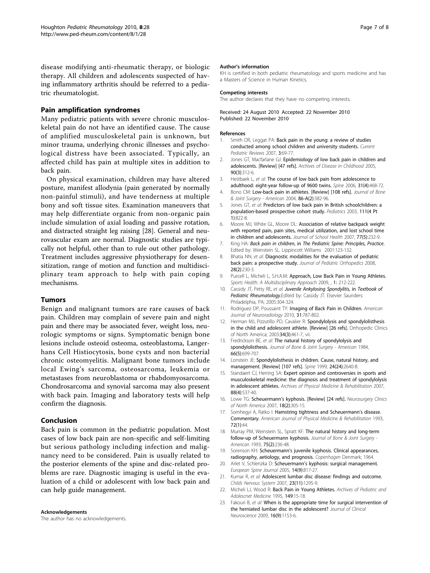<span id="page-6-0"></span>disease modifying anti-rheumatic therapy, or biologic therapy. All children and adolescents suspected of having inflammatory arthritis should be referred to a pediatric rheumatologist.

#### Pain amplification syndromes

Many pediatric patients with severe chronic musculoskeletal pain do not have an identified cause. The cause of amplified musculoskeletal pain is unknown, but minor trauma, underlying chronic illnesses and psychological distress have been associated. Typically, an affected child has pain at multiple sites in addition to back pain.

On physical examination, children may have altered posture, manifest allodynia (pain generated by normally non-painful stimuli), and have tenderness at multiple bony and soft tissue sites. Examination maneuvers that may help differentiate organic from non-organic pain include simulation of axial loading and passive rotation, and distracted straight leg raising [\[28\]](#page-7-0). General and neurovascular exam are normal. Diagnostic studies are typically not helpful, other than to rule out other pathology. Treatment includes aggressive physiotherapy for desensitization, range of motion and function and multidisciplinary team approach to help with pain coping mechanisms.

#### Tumors

Benign and malignant tumors are rare causes of back pain. Children may complain of severe pain and night pain and there may be associated fever, weight loss, neurologic symptoms or signs. Symptomatic benign bone lesions include osteoid osteoma, osteoblastoma, Langerhans Cell Histiocytosis, bone cysts and non bacterial chronic osteomyelitis. Malignant bone tumors include local Ewing's sarcoma, osteosarcoma, leukemia or metastases from neuroblastoma or rhabdomyosarcoma. Chondrosarcoma and synovial sarcoma may also present with back pain. Imaging and laboratory tests will help confirm the diagnosis.

#### Conclusion

Back pain is common in the pediatric population. Most cases of low back pain are non-specific and self-limiting but serious pathology including infection and malignancy need to be considered. Pain is usually related to the posterior elements of the spine and disc-related problems are rare. Diagnostic imaging is useful in the evaluation of a child or adolescent with low back pain and can help guide management.

#### Acknowledgements

The author has no acknowledgements.

#### Author's information

KH is certified in both pediatric rheumatology and sports medicine and has a Masters of Science in Human Kinetics.

#### Competing interests

The author declares that they have no competing interests.

Received: 24 August 2010 Accepted: 22 November 2010 Published: 22 November 2010

#### References

- 1. Smith DR, Leggat PA: Back pain in the young: a review of studies conducted among school children and university students. Current Pediatric Reviews 2007, 3:69-77.
- 2. Jones GT, Macfarlane GJ: [Epidemiology of low back pain in children and](http://www.ncbi.nlm.nih.gov/pubmed/15723927?dopt=Abstract) [adolescents. \[Review\] \[47 refs\].](http://www.ncbi.nlm.nih.gov/pubmed/15723927?dopt=Abstract) Archives of Disease in Childhood 2005, 90(3):312-6.
- 3. Hestbaek L, et al: [The course of low back pain from adolescence to](http://www.ncbi.nlm.nih.gov/pubmed/16481960?dopt=Abstract) [adulthood: eight-year follow-up of 9600 twins.](http://www.ncbi.nlm.nih.gov/pubmed/16481960?dopt=Abstract) Spine 2006, 31(4):468-72.
- 4. Bono CM: Low-back pain in athletes. [Review] [108 refs]. Journal of Bone & Joint Surgery - American 2004, 86-A(2):382-96.
- 5. Jones GT, et al: [Predictors of low back pain in British schoolchildren: a](http://www.ncbi.nlm.nih.gov/pubmed/12671119?dopt=Abstract) [population-based prospective cohort study.](http://www.ncbi.nlm.nih.gov/pubmed/12671119?dopt=Abstract) Pediatrics 2003, 111(4 Pt 1):822-8.
- 6. Moore MJ, White GL, Moore DL: [Association of relative backpack weight](http://www.ncbi.nlm.nih.gov/pubmed/17430435?dopt=Abstract) [with reported pain, pain sites, medical utilization, and lost school time](http://www.ncbi.nlm.nih.gov/pubmed/17430435?dopt=Abstract) [in children and adolescents.](http://www.ncbi.nlm.nih.gov/pubmed/17430435?dopt=Abstract) Journal of School Health 2007, 77(5):232-9.
- 7. King HA: Back pain in children, in The Pediatric Spine: Principles, Practice. Edited by: Weinstein SL. Lippincott Williams 2001:123-132.
- 8. Bhatia NN, et al: [Diagnostic modalities for the evaluation of pediatric](http://www.ncbi.nlm.nih.gov/pubmed/18388720?dopt=Abstract) [back pain: a prospective study.](http://www.ncbi.nlm.nih.gov/pubmed/18388720?dopt=Abstract) Journal of Pediatric Orthopedics 2008, 28(2):230-3.
- 9. Purcell L, Micheli L, S.H.A.M: Approach, Low Back Pain in Young Athletes. Sports Health: A Multidisciplinary Approach 2009, , 1: 212-222.
- 10. Cassidy JT, Petty RE, et al: Juvenile Ankylosing Spondylitis, in Textbook of Pediatric Rheumatology.Edited by: Cassidy JT. Elsevier Saunders: Philadelphia, PA; 2005:304-324.
- 11. Rodriguez DP, Poussaint TY: [Imaging of Back Pain in Children.](http://www.ncbi.nlm.nih.gov/pubmed/19926701?dopt=Abstract) American Journal of Neuroradiology 2010, 31:787-802.
- 12. Herman MJ, Pizzutillo PD, Cavalier R: Spondylolysis and spondylolisthesis in the child and adolescent athlete. [Review] [26 refs]. Orthopedic Clinics of North America; 2003:34(3):461-7, vii.
- 13. Fredrickson BE, et al: The natural history of spondylolysis and spondylolisthesis. Journal of Bone & Joint Surgery - American 1984, 66(5):699-707.
- 14. Lonstein JE: [Spondylolisthesis in children. Cause, natural history, and](http://www.ncbi.nlm.nih.gov/pubmed/10635527?dopt=Abstract) [management. \[Review\] \[107 refs\].](http://www.ncbi.nlm.nih.gov/pubmed/10635527?dopt=Abstract) Spine 1999, 24(24):2640-8.
- 15. Standaert CJ, Herring SA: Expert opinion and controversies in sports and musculoskeletal medicine: the diagnosis and treatment of spondylolysis in adolescent athletes. Archives of Physical Medicine & Rehabilitation 2007, 88(4):537-40.
- 16. Lowe TG: Scheuermann'[s kyphosis. \[Review\] \[24 refs\].](http://www.ncbi.nlm.nih.gov/pubmed/17556132?dopt=Abstract) Neurosurgery Clinics of North America 2007, 18(2):305-15.
- 17. Somhegyi A, Ratko I: Hamstring tightness and Scheuermann's disease. Commentary. American Journal of Physical Medicine & Rehabilitation 1993, 72(1):44.
- 18. Murray PM, Weinstein SL, Spratt KF: The natural history and long-term follow-up of Scheuermann kyphosis. Journal of Bone & Joint Surgery -American 1993, 75(2):236-48.
- 19. Sorenson KH: Scheuermann's juvenile kyphosis. Clinical appearances, radiography, aetiology, and prognosis. Copenhagen Denmark; 1964
- 20. Arlet V, Schlenzka D: Scheuermann'[s kyphosis: surgical management.](http://www.ncbi.nlm.nih.gov/pubmed/15830215?dopt=Abstract) European Spine Journal 2005, 14(9):817-27.
- 21. Kumar R, et al: Adolescent lumbar disc disease: findings and outcome. Childs Nervous System 2007, 23(11):1295-9.
- 22. Micheli LJ, Wood R: Back Pain in Young Athletes. Archives of Pediatric and Adolescnet Medicine 1995, 149:15-18.
- 23. Fakouri B, et al: [When is the appropriate time for surgical intervention of](http://www.ncbi.nlm.nih.gov/pubmed/19546005?dopt=Abstract) [the herniated lumbar disc in the adolescent?](http://www.ncbi.nlm.nih.gov/pubmed/19546005?dopt=Abstract) Journal of Clinical Neuroscience 2009, 16(9):1153-6.